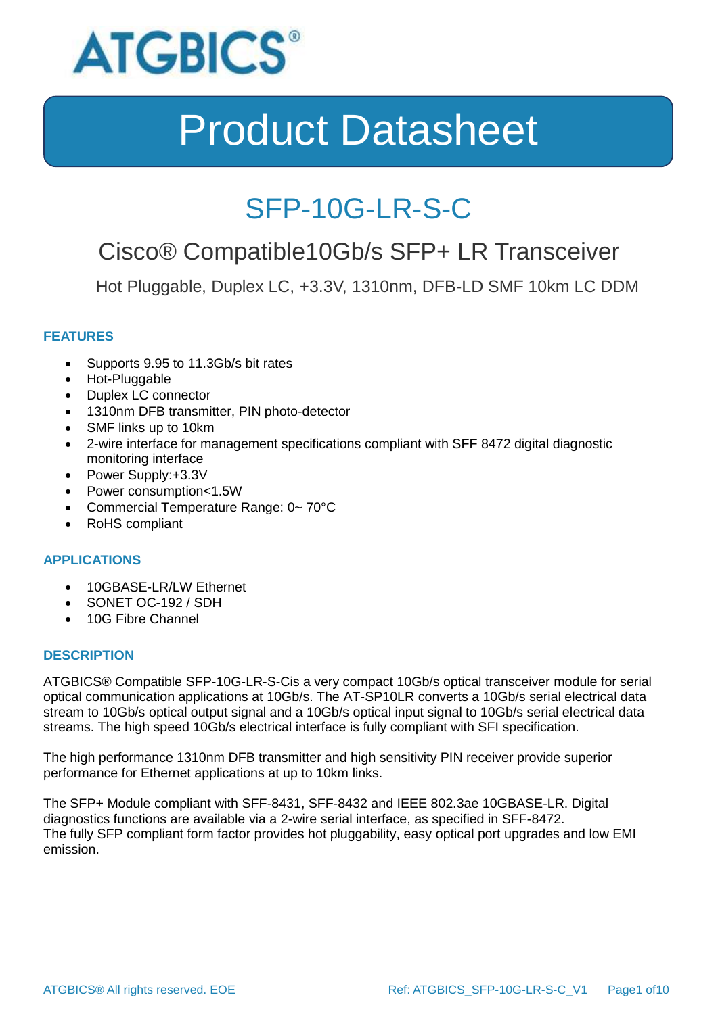

### SFP-10G-LR-S-C

### Cisco® Compatible10Gb/s SFP+ LR Transceiver

Hot Pluggable, Duplex LC, +3.3V, 1310nm, DFB-LD SMF 10km LC DDM

### **FEATURES**

- Supports 9.95 to 11.3Gb/s bit rates
- Hot-Pluggable
- Duplex LC connector
- 1310nm DFB transmitter, PIN photo-detector
- SMF links up to 10km
- 2-wire interface for management specifications compliant with SFF 8472 digital diagnostic monitoring interface
- Power Supply:+3.3V
- Power consumption<1.5W
- Commercial Temperature Range: 0~70°C
- RoHS compliant

### **APPLICATIONS**

- 10GBASE-LR/LW Ethernet
- SONET OC-192 / SDH
- 10G Fibre Channel

#### **DESCRIPTION**

ATGBICS® Compatible SFP-10G-LR-S-Cis a very compact 10Gb/s optical transceiver module for serial optical communication applications at 10Gb/s. The AT-SP10LR converts a 10Gb/s serial electrical data stream to 10Gb/s optical output signal and a 10Gb/s optical input signal to 10Gb/s serial electrical data streams. The high speed 10Gb/s electrical interface is fully compliant with SFI specification.

The high performance 1310nm DFB transmitter and high sensitivity PIN receiver provide superior performance for Ethernet applications at up to 10km links.

The SFP+ Module compliant with SFF-8431, SFF-8432 and IEEE 802.3ae 10GBASE-LR. Digital diagnostics functions are available via a 2-wire serial interface, as specified in SFF-8472. The fully SFP compliant form factor provides hot pluggability, easy optical port upgrades and low EMI emission.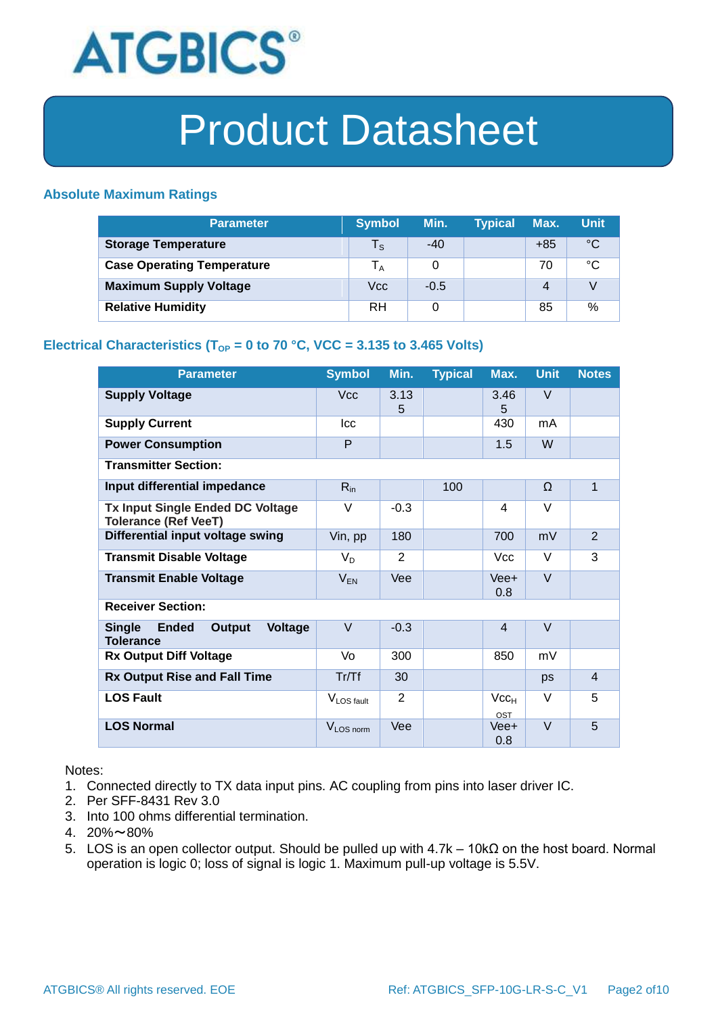

### **Absolute Maximum Ratings**

| <b>Parameter</b>                  | <b>Symbol</b>           | Min.   | <b>Typical</b> | Max.           | <b>Unit</b> |
|-----------------------------------|-------------------------|--------|----------------|----------------|-------------|
| <b>Storage Temperature</b>        | $\mathsf{T}_\mathsf{S}$ | $-40$  |                | $+85$          | °C          |
| <b>Case Operating Temperature</b> | l <sub>A</sub>          | 0      |                | 70             | °C          |
| <b>Maximum Supply Voltage</b>     | Vcc                     | $-0.5$ |                | $\overline{4}$ |             |
| <b>Relative Humidity</b>          | <b>RH</b>               | 0      |                | 85             | %           |

### **Electrical Characteristics (T<sub>OP</sub> = 0 to 70 °C, VCC = 3.135 to 3.465 Volts)**

| <b>Parameter</b>                                                       | <b>Symbol</b>          | Min.           | <b>Typical</b> | Max.             | <b>Unit</b> | <b>Notes</b>   |
|------------------------------------------------------------------------|------------------------|----------------|----------------|------------------|-------------|----------------|
| <b>Supply Voltage</b>                                                  | <b>Vcc</b>             | 3.13<br>5      |                | 3.46<br>5        | V           |                |
| <b>Supply Current</b>                                                  | Icc                    |                |                | 430              | mA          |                |
| <b>Power Consumption</b>                                               | P                      |                |                | 1.5              | W           |                |
| <b>Transmitter Section:</b>                                            |                        |                |                |                  |             |                |
| Input differential impedance                                           | $R_{in}$               |                | 100            |                  | Ω           | $\mathbf{1}$   |
| <b>Tx Input Single Ended DC Voltage</b><br><b>Tolerance (Ref VeeT)</b> | V                      | $-0.3$         |                | 4                | V           |                |
| Differential input voltage swing                                       | Vin, pp                | 180            |                | 700              | mV          | 2              |
| <b>Transmit Disable Voltage</b>                                        | $V_D$                  | 2              |                | <b>Vcc</b>       | $\vee$      | 3              |
| <b>Transmit Enable Voltage</b>                                         | $V_{EN}$               | Vee            |                | Vee+<br>0.8      | $\vee$      |                |
| <b>Receiver Section:</b>                                               |                        |                |                |                  |             |                |
| <b>Single</b><br><b>Ended</b><br>Output<br>Voltage<br><b>Tolerance</b> | $\vee$                 | $-0.3$         |                | $\overline{4}$   | $\vee$      |                |
| <b>Rx Output Diff Voltage</b>                                          | Vo                     | 300            |                | 850              | mV          |                |
| <b>Rx Output Rise and Fall Time</b>                                    | Tr/Tf                  | 30             |                |                  | ps          | $\overline{4}$ |
| <b>LOS Fault</b>                                                       | V <sub>LOS fault</sub> | $\overline{2}$ |                | $Vcc_{H}$<br>OST | V           | 5              |
| <b>LOS Normal</b>                                                      | V <sub>LOS</sub> norm  | Vee            |                | Vee+<br>0.8      | $\vee$      | 5              |

Notes:

- 1. Connected directly to TX data input pins. AC coupling from pins into laser driver IC.
- 2. Per SFF-8431 Rev 3.0
- 3. Into 100 ohms differential termination.
- 4. 20%~80%
- 5. LOS is an open collector output. Should be pulled up with 4.7k 10kΩ on the host board. Normal operation is logic 0; loss of signal is logic 1. Maximum pull-up voltage is 5.5V.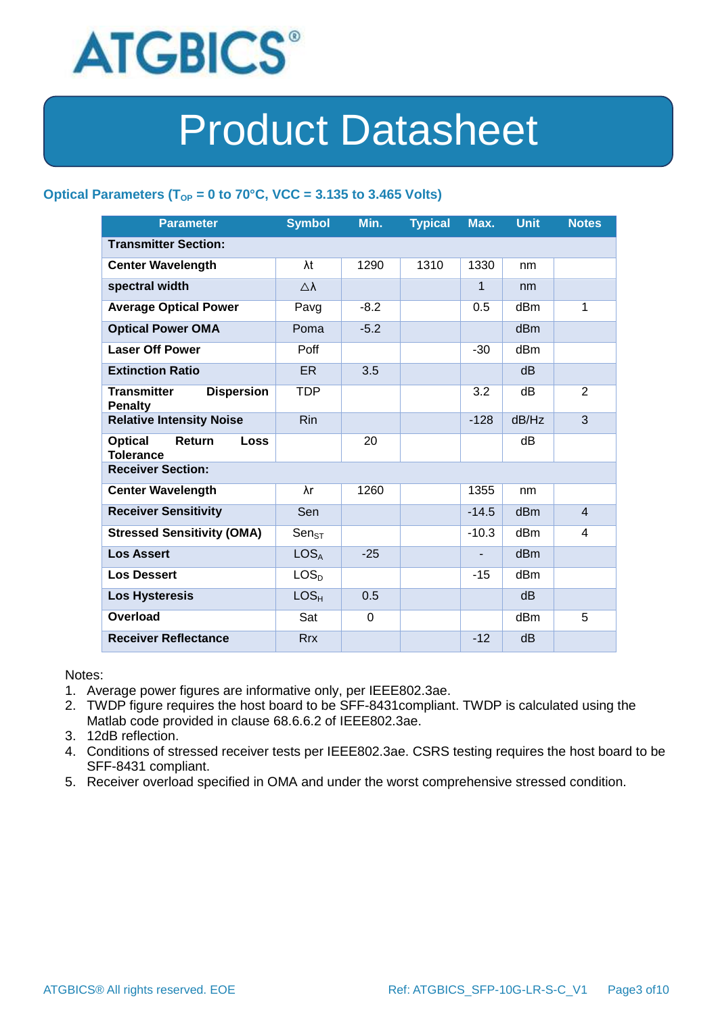

### Optical Parameters ( $T_{OP}$  = 0 to 70°C, VCC = 3.135 to 3.465 Volts)

| <b>Parameter</b>                                            | <b>Symbol</b>       | Min.   | <b>Typical</b> | Max.         | <b>Unit</b>     | <b>Notes</b>   |
|-------------------------------------------------------------|---------------------|--------|----------------|--------------|-----------------|----------------|
| <b>Transmitter Section:</b>                                 |                     |        |                |              |                 |                |
| <b>Center Wavelength</b>                                    | λt                  | 1290   | 1310           | 1330         | nm              |                |
| spectral width                                              | $\triangle \lambda$ |        |                | $\mathbf{1}$ | nm              |                |
| <b>Average Optical Power</b>                                | Pavg                | $-8.2$ |                | 0.5          | dBm             | 1              |
| <b>Optical Power OMA</b>                                    | Poma                | $-5.2$ |                |              | dB <sub>m</sub> |                |
| <b>Laser Off Power</b>                                      | Poff                |        |                | $-30$        | dB <sub>m</sub> |                |
| <b>Extinction Ratio</b>                                     | ER.                 | 3.5    |                |              | d <sub>B</sub>  |                |
| <b>Transmitter</b><br><b>Dispersion</b><br><b>Penalty</b>   | TDP                 |        |                | 3.2          | dВ              | 2              |
| <b>Relative Intensity Noise</b>                             | <b>Rin</b>          |        |                | $-128$       | dB/Hz           | 3              |
| <b>Optical</b><br>Return<br><b>Loss</b><br><b>Tolerance</b> |                     | 20     |                |              | dВ              |                |
| <b>Receiver Section:</b>                                    |                     |        |                |              |                 |                |
| <b>Center Wavelength</b>                                    | λr                  | 1260   |                | 1355         | nm              |                |
| <b>Receiver Sensitivity</b>                                 | Sen                 |        |                | $-14.5$      | d <sub>Bm</sub> | $\overline{4}$ |
| <b>Stressed Sensitivity (OMA)</b>                           | $Sen_{ST}$          |        |                | $-10.3$      | dBm             | 4              |
| <b>Los Assert</b>                                           | LOS <sub>A</sub>    | $-25$  |                |              | d <sub>Bm</sub> |                |
| <b>Los Dessert</b>                                          | LOS <sub>D</sub>    |        |                | $-15$        | dBm             |                |
| <b>Los Hysteresis</b>                                       | LOS <sub>H</sub>    | 0.5    |                |              | d <sub>B</sub>  |                |
| Overload                                                    | Sat                 | 0      |                |              | dB <sub>m</sub> | 5              |
| <b>Receiver Reflectance</b>                                 | <b>Rrx</b>          |        |                | $-12$        | dB              |                |

Notes:

- 1. Average power figures are informative only, per IEEE802.3ae.
- 2. TWDP figure requires the host board to be SFF-8431compliant. TWDP is calculated using the Matlab code provided in clause 68.6.6.2 of IEEE802.3ae.
- 3. 12dB reflection.
- 4. Conditions of stressed receiver tests per IEEE802.3ae. CSRS testing requires the host board to be SFF-8431 compliant.
- 5. Receiver overload specified in OMA and under the worst comprehensive stressed condition.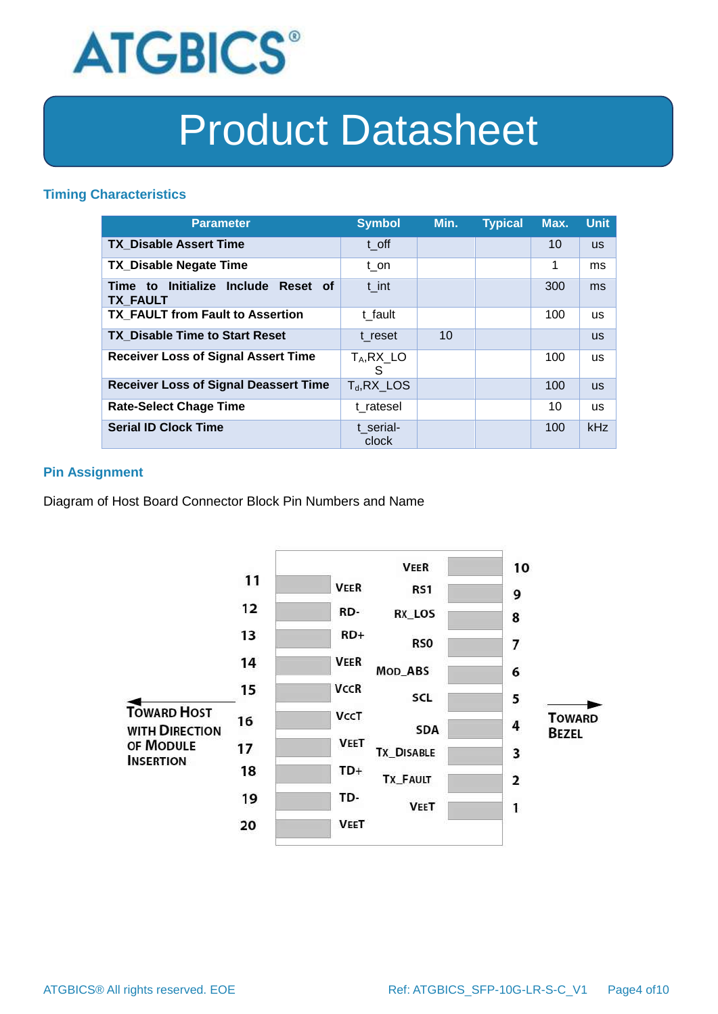

### **Timing Characteristics**

| <b>Parameter</b>                                       | <b>Symbol</b>      | Min. | <b>Typical</b> | Max. | <b>Unit</b> |
|--------------------------------------------------------|--------------------|------|----------------|------|-------------|
| <b>TX Disable Assert Time</b>                          | t off              |      |                | 10   | <b>US</b>   |
| <b>TX Disable Negate Time</b>                          | t on               |      |                | 1    | ms          |
| Time to Initialize Include Reset of<br><b>TX FAULT</b> | t int              |      |                | 300  | ms          |
| <b>TX FAULT from Fault to Assertion</b>                | t fault            |      |                | 100  | <b>us</b>   |
| <b>TX Disable Time to Start Reset</b>                  | t reset            | 10   |                |      | <b>us</b>   |
| <b>Receiver Loss of Signal Assert Time</b>             | $T_A, RX_L$<br>S   |      |                | 100  | <b>us</b>   |
| <b>Receiver Loss of Signal Deassert Time</b>           | $T_d$ , RX_LOS     |      |                | 100  | <b>us</b>   |
| <b>Rate-Select Chage Time</b>                          | t ratesel          |      |                | 10   | <b>us</b>   |
| <b>Serial ID Clock Time</b>                            | t serial-<br>clock |      |                | 100  | kHz         |

#### **Pin Assignment**

Diagram of Host Board Connector Block Pin Numbers and Name

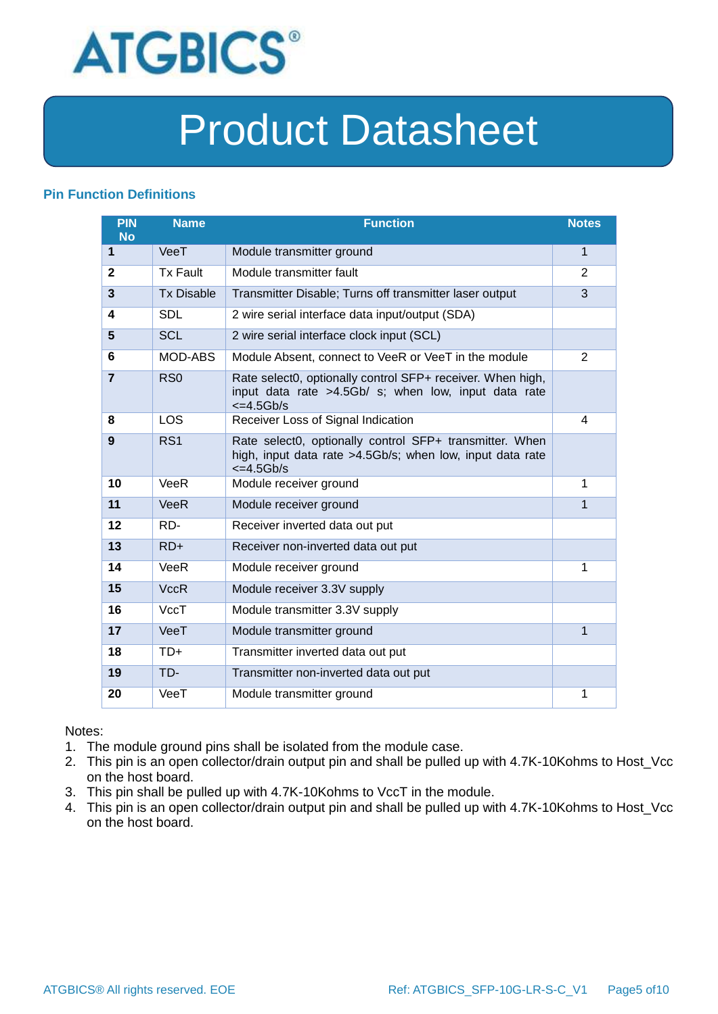

### **Pin Function Definitions**

| PIN<br><b>No</b> | <b>Name</b>       | <b>Function</b>                                                                                                                               | <b>Notes</b>   |
|------------------|-------------------|-----------------------------------------------------------------------------------------------------------------------------------------------|----------------|
| 1                | VeeT              | Module transmitter ground                                                                                                                     | 1              |
| $\mathbf{2}$     | <b>Tx Fault</b>   | Module transmitter fault                                                                                                                      | $\overline{2}$ |
| 3                | <b>Tx Disable</b> | Transmitter Disable; Turns off transmitter laser output                                                                                       | 3              |
| 4                | <b>SDL</b>        | 2 wire serial interface data input/output (SDA)                                                                                               |                |
| 5                | <b>SCL</b>        | 2 wire serial interface clock input (SCL)                                                                                                     |                |
| 6                | MOD-ABS           | Module Absent, connect to VeeR or VeeT in the module                                                                                          | $\overline{2}$ |
| $\overline{7}$   | RSO               | Rate select0, optionally control SFP+ receiver. When high,<br>input data rate >4.5Gb/ s; when low, input data rate<br>$\epsilon$ =4.5Gb/s     |                |
| 8                | LOS               | Receiver Loss of Signal Indication                                                                                                            | 4              |
| 9                | RS <sub>1</sub>   | Rate select0, optionally control SFP+ transmitter. When<br>high, input data rate >4.5Gb/s; when low, input data rate<br>$\epsilon = 4.5$ Gb/s |                |
| 10               | VeeR              | Module receiver ground                                                                                                                        | 1              |
| 11               | <b>VeeR</b>       | Module receiver ground                                                                                                                        | 1              |
| 12               | RD-               | Receiver inverted data out put                                                                                                                |                |
| 13               | $RD+$             | Receiver non-inverted data out put                                                                                                            |                |
| 14               | VeeR              | Module receiver ground                                                                                                                        | 1              |
| 15               | <b>VccR</b>       | Module receiver 3.3V supply                                                                                                                   |                |
| 16               | VccT              | Module transmitter 3.3V supply                                                                                                                |                |
| 17               | VeeT              | Module transmitter ground                                                                                                                     | $\mathbf{1}$   |
| 18               | $TD+$             | Transmitter inverted data out put                                                                                                             |                |
| 19               | TD-               | Transmitter non-inverted data out put                                                                                                         |                |
| 20               | VeeT              | Module transmitter ground                                                                                                                     | 1              |

Notes:

- 1. The module ground pins shall be isolated from the module case.
- 2. This pin is an open collector/drain output pin and shall be pulled up with 4.7K-10Kohms to Host\_Vcc on the host board.
- 3. This pin shall be pulled up with 4.7K-10Kohms to VccT in the module.
- 4. This pin is an open collector/drain output pin and shall be pulled up with 4.7K-10Kohms to Host\_Vcc on the host board.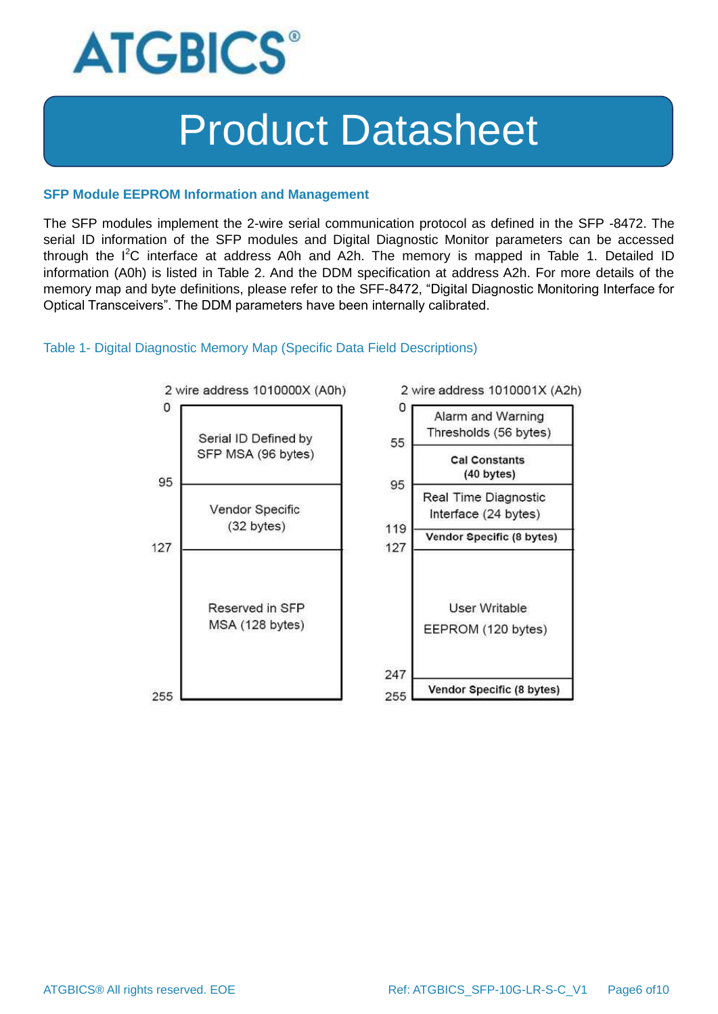

#### **SFP Module EEPROM Information and Management**

The SFP modules implement the 2-wire serial communication protocol as defined in the SFP -8472. The serial ID information of the SFP modules and Digital Diagnostic Monitor parameters can be accessed through the  $I^2C$  interface at address A0h and A2h. The memory is mapped in Table 1. Detailed ID information (A0h) is listed in Table 2. And the DDM specification at address A2h. For more details of the memory map and byte definitions, please refer to the SFF-8472, "Digital Diagnostic Monitoring Interface for Optical Transceivers". The DDM parameters have been internally calibrated.

#### Table 1- Digital Diagnostic Memory Map (Specific Data Field Descriptions)

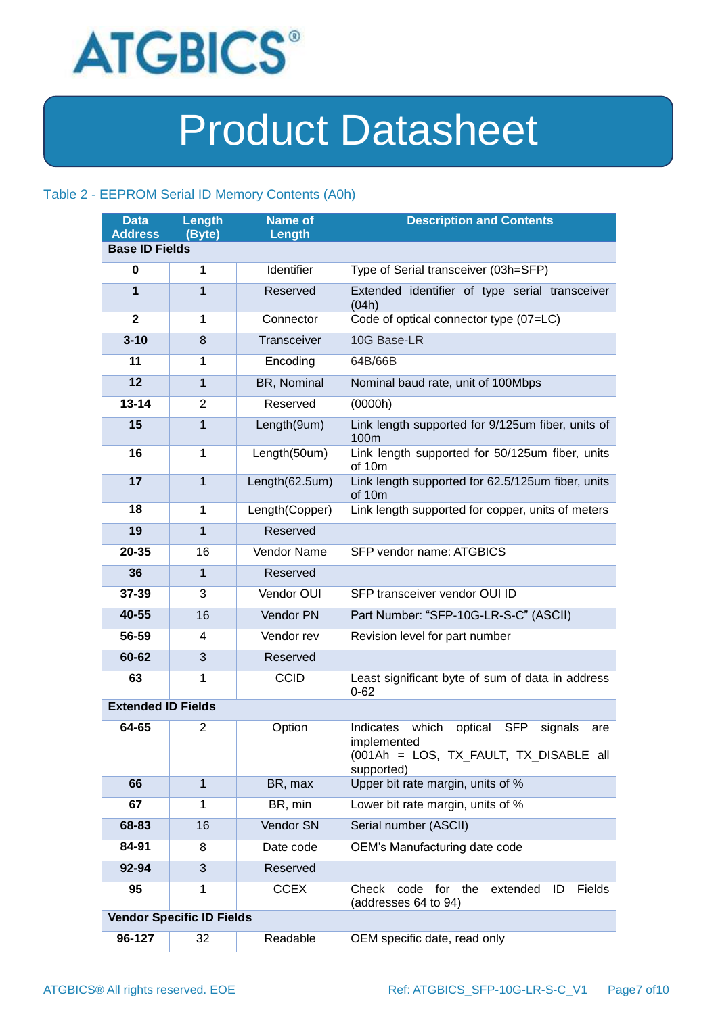

### Table 2 - EEPROM Serial ID Memory Contents (A0h)

| <b>Data</b><br><b>Address</b> | Length<br>(Byte)                 | <b>Name of</b><br>Length | <b>Description and Contents</b>                                                                                                      |
|-------------------------------|----------------------------------|--------------------------|--------------------------------------------------------------------------------------------------------------------------------------|
| <b>Base ID Fields</b>         |                                  |                          |                                                                                                                                      |
| 0                             | $\mathbf{1}$                     | Identifier               | Type of Serial transceiver (03h=SFP)                                                                                                 |
| 1                             | $\mathbf{1}$                     | Reserved                 | Extended identifier of type serial transceiver<br>(04h)                                                                              |
| $\mathbf{2}$                  | 1                                | Connector                | Code of optical connector type (07=LC)                                                                                               |
| $3 - 10$                      | 8                                | <b>Transceiver</b>       | 10G Base-LR                                                                                                                          |
| 11                            | 1                                | Encoding                 | 64B/66B                                                                                                                              |
| 12                            | $\mathbf{1}$                     | BR, Nominal              | Nominal baud rate, unit of 100Mbps                                                                                                   |
| $13 - 14$                     | $\overline{2}$                   | Reserved                 | (0000h)                                                                                                                              |
| 15                            | $\mathbf{1}$                     | Length(9um)              | Link length supported for 9/125um fiber, units of<br>100m                                                                            |
| 16                            | $\mathbf{1}$                     | Length(50um)             | Link length supported for 50/125um fiber, units<br>of 10m                                                                            |
| 17                            | $\mathbf{1}$                     | Length(62.5um)           | Link length supported for 62.5/125um fiber, units<br>of 10m                                                                          |
| 18                            | $\mathbf{1}$                     | Length(Copper)           | Link length supported for copper, units of meters                                                                                    |
| 19                            | $\mathbf{1}$                     | Reserved                 |                                                                                                                                      |
| 20-35                         | 16                               | <b>Vendor Name</b>       | SFP vendor name: ATGBICS                                                                                                             |
| 36                            | $\mathbf{1}$                     | Reserved                 |                                                                                                                                      |
| 37-39                         | 3                                | Vendor OUI               | SFP transceiver vendor OUI ID                                                                                                        |
| 40-55                         | 16                               | <b>Vendor PN</b>         | Part Number: "SFP-10G-LR-S-C" (ASCII)                                                                                                |
| 56-59                         | 4                                | Vendor rev               | Revision level for part number                                                                                                       |
| 60-62                         | 3                                | Reserved                 |                                                                                                                                      |
| 63                            | 1                                | <b>CCID</b>              | Least significant byte of sum of data in address<br>$0 - 62$                                                                         |
| <b>Extended ID Fields</b>     |                                  |                          |                                                                                                                                      |
| 64-65                         | 2                                | Option                   | Indicates<br>which<br>optical<br><b>SFP</b><br>signals<br>are<br>implemented<br>(001Ah = LOS, TX_FAULT, TX_DISABLE all<br>supported) |
| 66                            | $\mathbf{1}$                     | BR, max                  | Upper bit rate margin, units of %                                                                                                    |
| 67                            | 1                                | BR, min                  | Lower bit rate margin, units of %                                                                                                    |
| 68-83                         | 16                               | Vendor SN                | Serial number (ASCII)                                                                                                                |
| 84-91                         | 8                                | Date code                | OEM's Manufacturing date code                                                                                                        |
| 92-94                         | 3                                | Reserved                 |                                                                                                                                      |
| 95                            | 1                                | <b>CCEX</b>              | for<br>the<br>Fields<br>Check<br>code<br>extended<br>ID<br>(addresses 64 to 94)                                                      |
|                               | <b>Vendor Specific ID Fields</b> |                          |                                                                                                                                      |
| 96-127                        | 32                               | Readable                 | OEM specific date, read only                                                                                                         |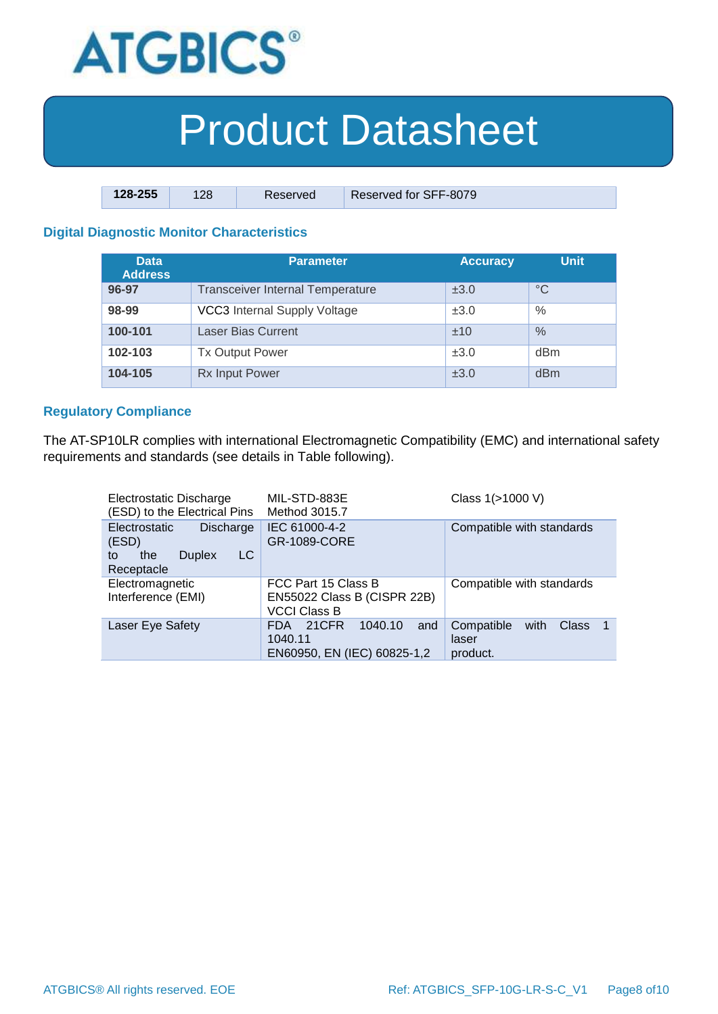

| $128 - 255$ | 128 | Reserved | Reserved for SFF-8079 |
|-------------|-----|----------|-----------------------|

### **Digital Diagnostic Monitor Characteristics**

| <b>Data</b><br><b>Address</b> | Parameter                               | <b>Accuracy</b> | <b>Unit</b> |
|-------------------------------|-----------------------------------------|-----------------|-------------|
| 96-97                         | <b>Transceiver Internal Temperature</b> | ±3.0            | $^{\circ}C$ |
| 98-99                         | <b>VCC3</b> Internal Supply Voltage     | ±3.0            | $\%$        |
| 100-101                       | <b>Laser Bias Current</b>               | ±10             | $\%$        |
| 102-103                       | <b>Tx Output Power</b>                  | ±3.0            | dBm         |
| 104-105                       | <b>Rx Input Power</b>                   | ±3.0            | dBm         |

#### **Regulatory Compliance**

The AT-SP10LR complies with international Electromagnetic Compatibility (EMC) and international safety requirements and standards (see details in Table following).

| Electrostatic Discharge<br>(ESD) to the Electrical Pins                                      | MIL-STD-883E<br>Method 3015.7                                             | Class 1(>1000 V)                                       |
|----------------------------------------------------------------------------------------------|---------------------------------------------------------------------------|--------------------------------------------------------|
| <b>Electrostatic</b><br>Discharge<br>(ESD)<br>LC<br><b>Duplex</b><br>the<br>to<br>Receptacle | IEC 61000-4-2<br>GR-1089-CORE                                             | Compatible with standards                              |
| Electromagnetic<br>Interference (EMI)                                                        | FCC Part 15 Class B<br>EN55022 Class B (CISPR 22B)<br><b>VCCI Class B</b> | Compatible with standards                              |
| Laser Eye Safety                                                                             | 21CFR<br>1040.10<br>and<br>FDA.<br>1040.11<br>EN60950, EN (IEC) 60825-1,2 | Compatible<br>Class<br>with<br>-1<br>laser<br>product. |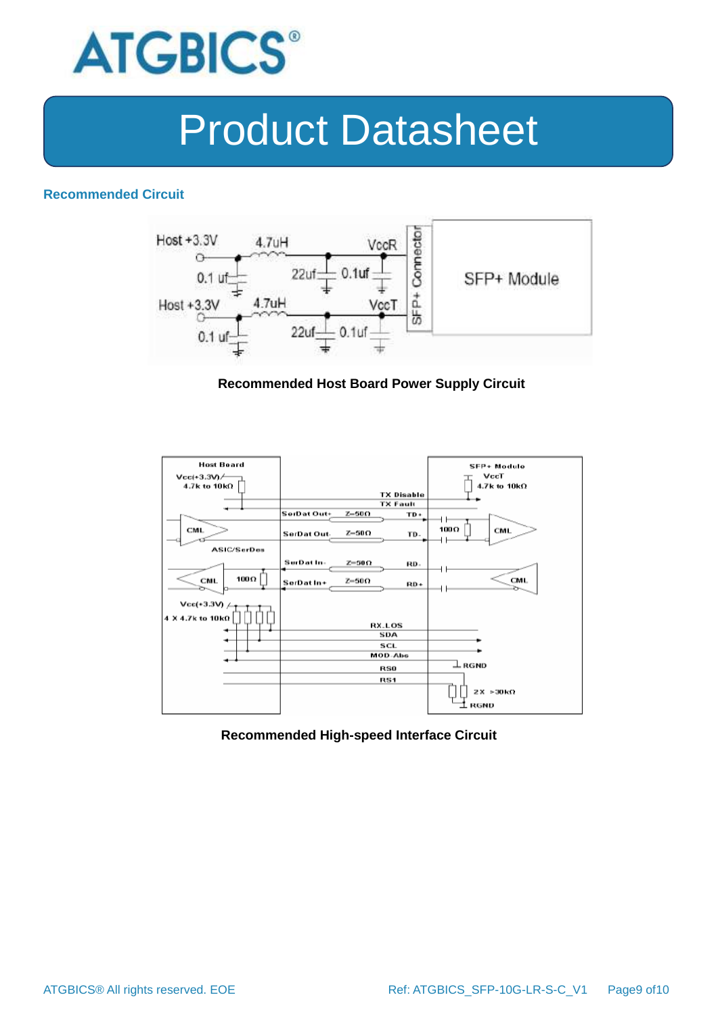

#### **Recommended Circuit**



#### **Recommended Host Board Power Supply Circuit**



#### **Recommended High-speed Interface Circuit**